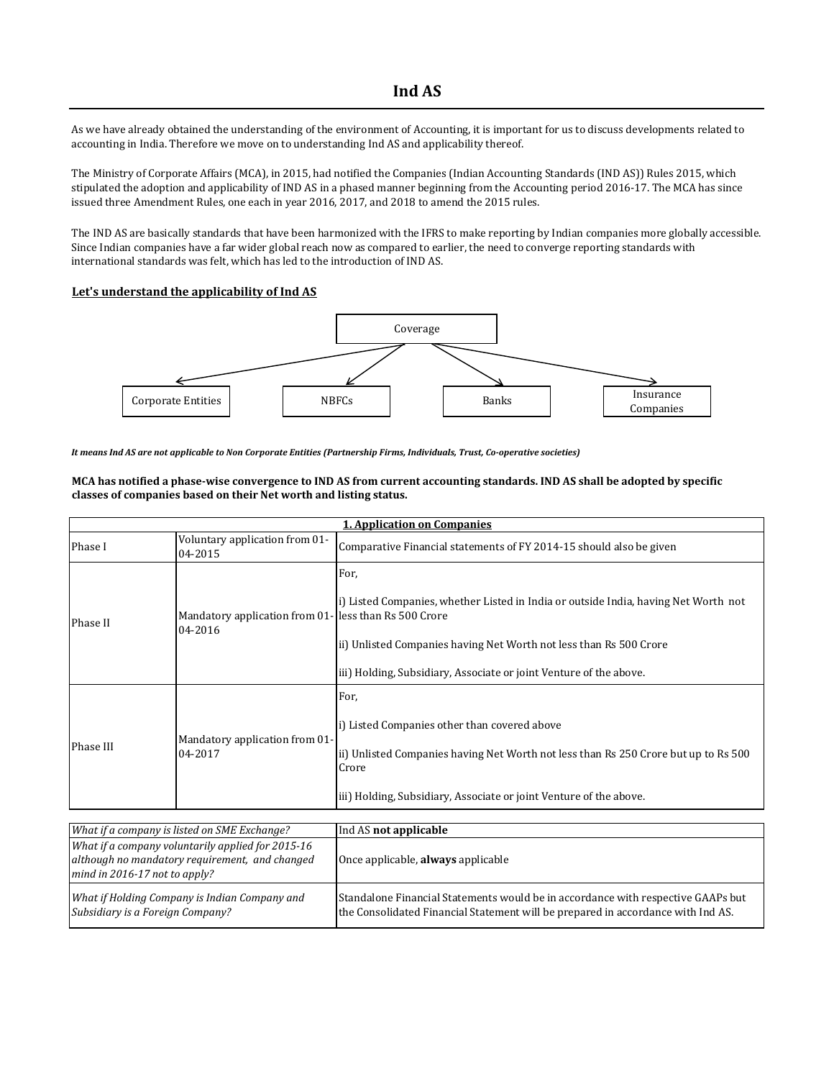## **Ind AS**

As we have already obtained the understanding of the environment of Accounting, it is important for us to discuss developments related to accounting in India. Therefore we move on to understanding Ind AS and applicability thereof.

The Ministry of Corporate Affairs (MCA), in 2015, had notified the Companies (Indian Accounting Standards (IND AS)) Rules 2015, which stipulated the adoption and applicability of IND AS in a phased manner beginning from the Accounting period 2016-17. The MCA has since issued three Amendment Rules, one each in year 2016, 2017, and 2018 to amend the 2015 rules.

The IND AS are basically standards that have been harmonized with the IFRS to make reporting by Indian companies more globally accessible. Since Indian companies have a far wider global reach now as compared to earlier, the need to converge reporting standards with international standards was felt, which has led to the introduction of IND AS.

## **Let's understand the applicability of Ind AS**



*It means Ind AS are not applicable to Non Corporate Entities (Partnership Firms, Individuals, Trust, Co-operative societies)*

**MCA has notified a phase-wise convergence to IND AS from current accounting standards. IND AS shall be adopted by specific classes of companies based on their Net worth and listing status.** 

| <b>1. Application on Companies</b>                                                                                                   |                                                                 |                                                                                                                                                                                                                                         |  |
|--------------------------------------------------------------------------------------------------------------------------------------|-----------------------------------------------------------------|-----------------------------------------------------------------------------------------------------------------------------------------------------------------------------------------------------------------------------------------|--|
| Phase I                                                                                                                              | Voluntary application from 01-<br>04-2015                       | Comparative Financial statements of FY 2014-15 should also be given                                                                                                                                                                     |  |
| Phase II                                                                                                                             | Mandatory application from 01-less than Rs 500 Crore<br>04-2016 | For,<br>i) Listed Companies, whether Listed in India or outside India, having Net Worth not<br>ii) Unlisted Companies having Net Worth not less than Rs 500 Crore<br>iii) Holding, Subsidiary, Associate or joint Venture of the above. |  |
| Phase III                                                                                                                            | Mandatory application from 01-<br>04-2017                       | For,<br>i) Listed Companies other than covered above<br>ii) Unlisted Companies having Net Worth not less than Rs 250 Crore but up to Rs 500<br>Crore<br>iii) Holding, Subsidiary, Associate or joint Venture of the above.              |  |
|                                                                                                                                      | What if a company is listed on SME Exchange?                    | Ind AS not applicable                                                                                                                                                                                                                   |  |
| What if a company voluntarily applied for 2015-16<br>although no mandatory requirement, and changed<br>mind in 2016-17 not to apply? |                                                                 | Once applicable, always applicable                                                                                                                                                                                                      |  |
| What if Holding Company is Indian Company and<br>Subsidiary is a Foreign Company?                                                    |                                                                 | Standalone Financial Statements would be in accordance with respective GAAPs but<br>the Consolidated Financial Statement will be prepared in accordance with Ind AS.                                                                    |  |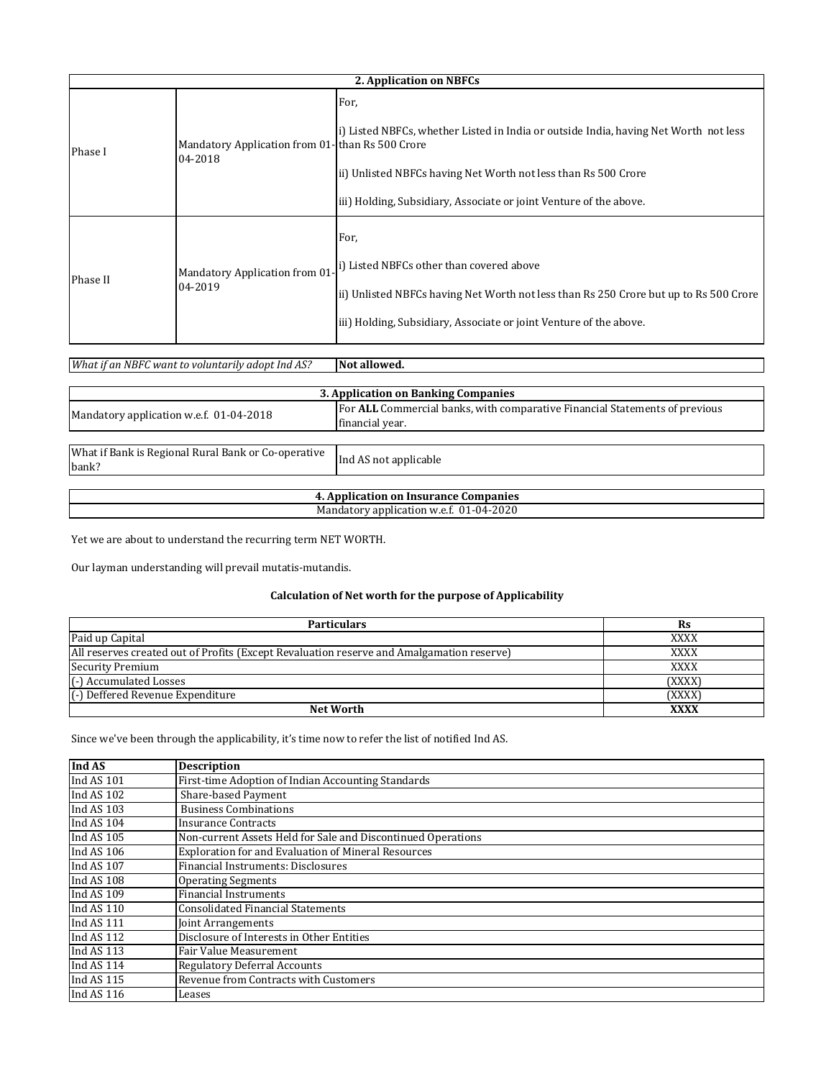|          | 2. Application on NBFCs                                    |                                                                                                                                                                                                                                      |  |
|----------|------------------------------------------------------------|--------------------------------------------------------------------------------------------------------------------------------------------------------------------------------------------------------------------------------------|--|
| Phase I  | Mandatory Application from 01-than Rs 500 Crore<br>04-2018 | For.<br>i) Listed NBFCs, whether Listed in India or outside India, having Net Worth not less<br>ii) Unlisted NBFCs having Net Worth not less than Rs 500 Crore<br>iii) Holding, Subsidiary, Associate or joint Venture of the above. |  |
| Phase II | Mandatory Application from 01<br>04-2019                   | For,<br>i) Listed NBFCs other than covered above<br>ii) Unlisted NBFCs having Net Worth not less than Rs 250 Crore but up to Rs 500 Crore<br>iii) Holding, Subsidiary, Associate or joint Venture of the above.                      |  |

| What if an NBFC want to voluntarily adopt Ind AS?            | Not allowed.                                                                |
|--------------------------------------------------------------|-----------------------------------------------------------------------------|
|                                                              |                                                                             |
|                                                              | 3. Application on Banking Companies                                         |
|                                                              | For ALL Commercial banks, with comparative Financial Statements of previous |
| Mandatory application w.e.f. 01-04-2018                      | financial year.                                                             |
|                                                              |                                                                             |
| What if Bank is Regional Rural Bank or Co-operative<br>bank? | Ind AS not applicable                                                       |
|                                                              |                                                                             |
|                                                              | 4. Application on Insurance Companies                                       |
|                                                              | Mandatory application w.e.f. 01-04-2020                                     |

Yet we are about to understand the recurring term NET WORTH.

Our layman understanding will prevail mutatis-mutandis.

## **Calculation of Net worth for the purpose of Applicability**

| <b>Particulars</b>                                                                        | Rs          |
|-------------------------------------------------------------------------------------------|-------------|
| Paid up Capital                                                                           | <b>XXXX</b> |
| All reserves created out of Profits (Except Revaluation reserve and Amalgamation reserve) | <b>XXXX</b> |
| Security Premium                                                                          | <b>XXXX</b> |
| (-) Accumulated Losses                                                                    | (XXXX)      |
| (-) Deffered Revenue Expenditure                                                          | (XXXX)      |
| <b>Net Worth</b>                                                                          | <b>XXXX</b> |

Since we've been through the applicability, it's time now to refer the list of notified Ind AS.

| Ind AS     | <b>Description</b>                                           |
|------------|--------------------------------------------------------------|
| Ind AS 101 | First-time Adoption of Indian Accounting Standards           |
| Ind AS 102 | Share-based Payment                                          |
| Ind AS 103 | <b>Business Combinations</b>                                 |
| Ind AS 104 | <b>Insurance Contracts</b>                                   |
| Ind AS 105 | Non-current Assets Held for Sale and Discontinued Operations |
| Ind AS 106 | <b>Exploration for and Evaluation of Mineral Resources</b>   |
| Ind AS 107 | Financial Instruments: Disclosures                           |
| Ind AS 108 | <b>Operating Segments</b>                                    |
| Ind AS 109 | <b>Financial Instruments</b>                                 |
| Ind AS 110 | <b>Consolidated Financial Statements</b>                     |
| Ind AS 111 | Joint Arrangements                                           |
| Ind AS 112 | Disclosure of Interests in Other Entities                    |
| Ind AS 113 | Fair Value Measurement                                       |
| Ind AS 114 | <b>Regulatory Deferral Accounts</b>                          |
| Ind AS 115 | Revenue from Contracts with Customers                        |
| Ind AS 116 | Leases                                                       |